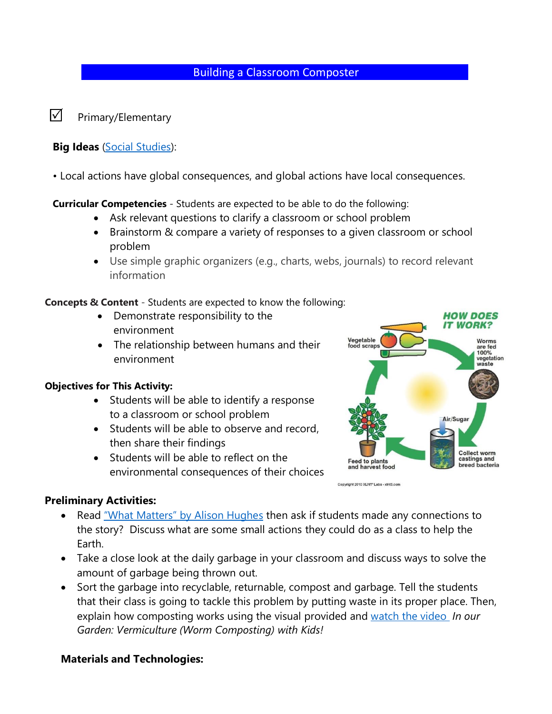### Building a Classroom Composter

 $\nabla$  Primary/Elementary

#### **Big Ideas** [\(Social Studies\)](https://www.google.com/url?sa=t&rct=j&q=&esrc=s&source=web&cd=&ved=2ahUKEwi-6faDlOXvAhXQrJ4KHe89DjkQFjAAegQICBAD&url=https%3A%2F%2Fcurriculum.gov.bc.ca%2Fsites%2Fcurriculum.gov.bc.ca%2Ffiles%2Fcurriculum%2Fsocial-studies%2Fen_social-studies_k-9_elab.pdf&usg=AOvVaw2FChlwjNMFccVzJdfJXMrW):

• Local actions have global consequences, and global actions have local consequences.

**Curricular Competencies** - Students are expected to be able to do the following:

- Ask relevant questions to clarify a classroom or school problem
- Brainstorm & compare a variety of responses to a given classroom or school problem
- Use simple graphic organizers (e.g., charts, webs, journals) to record relevant information

**Concepts & Content** - Students are expected to know the following:

- Demonstrate responsibility to the environment
- The relationship between humans and their environment

#### **Objectives for This Activity:**

- Students will be able to identify a response to a classroom or school problem
- Students will be able to observe and record, then share their findings
- Students will be able to reflect on the environmental consequences of their choices



Copyright 2010 XLNT<sup>3</sup> Labs - xint3.com

### **Preliminary Activities:**

- Read ["What Matters" by Alison Hughes](https://www.youtube.com/watch?v=mYPcAYGUi-I) then ask if students made any connections to the story? Discuss what are some small actions they could do as a class to help the Earth.
- Take a close look at the daily garbage in your classroom and discuss ways to solve the amount of garbage being thrown out.
- Sort the garbage into recyclable, returnable, compost and garbage. Tell the students that their class is going to tackle this problem by putting waste in its proper place. Then, explain how composting works using the visual provided and [watch the video](https://www.youtube.com/watch?v=t3s9US4cI20) *In our Garden: Vermiculture (Worm Composting) with Kids!*

#### **Materials and Technologies:**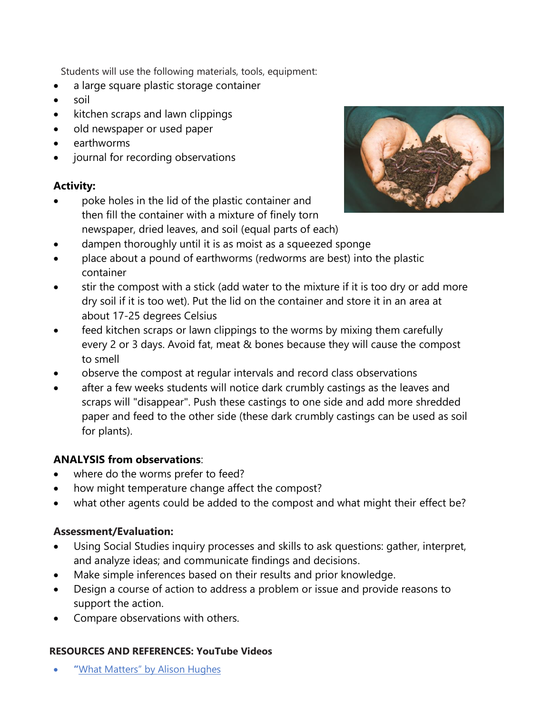Students will use the following materials, tools, equipment:

- a large square plastic storage container
- soil
- kitchen scraps and lawn clippings
- old newspaper or used paper
- earthworms
- journal for recording observations

# **Activity:**

• poke holes in the lid of the plastic container and then fill the container with a mixture of finely torn newspaper, dried leaves, and soil (equal parts of each)



- dampen thoroughly until it is as moist as a squeezed sponge
- place about a pound of earthworms (redworms are best) into the plastic container
- stir the compost with a stick (add water to the mixture if it is too dry or add more dry soil if it is too wet). Put the lid on the container and store it in an area at about 17-25 degrees Celsius
- feed kitchen scraps or lawn clippings to the worms by mixing them carefully every 2 or 3 days. Avoid fat, meat & bones because they will cause the compost to smell
- observe the compost at regular intervals and record class observations
- after a few weeks students will notice dark crumbly castings as the leaves and scraps will "disappear". Push these castings to one side and add more shredded paper and feed to the other side (these dark crumbly castings can be used as soil for plants).

# **ANALYSIS from observations**:

- where do the worms prefer to feed?
- how might temperature change affect the compost?
- what other agents could be added to the compost and what might their effect be?

# **Assessment/Evaluation:**

- Using Social Studies inquiry processes and skills to ask questions: gather, interpret, and analyze ideas; and communicate findings and decisions.
- Make simple inferences based on their results and prior knowledge.
- Design a course of action to address a problem or issue and provide reasons to support the action.
- Compare observations with others.

### **RESOURCES AND REFERENCES: YouTube Videos**

• **"**[What Matters" by Alison Hughes](https://www.youtube.com/watch?v=mYPcAYGUi-I)